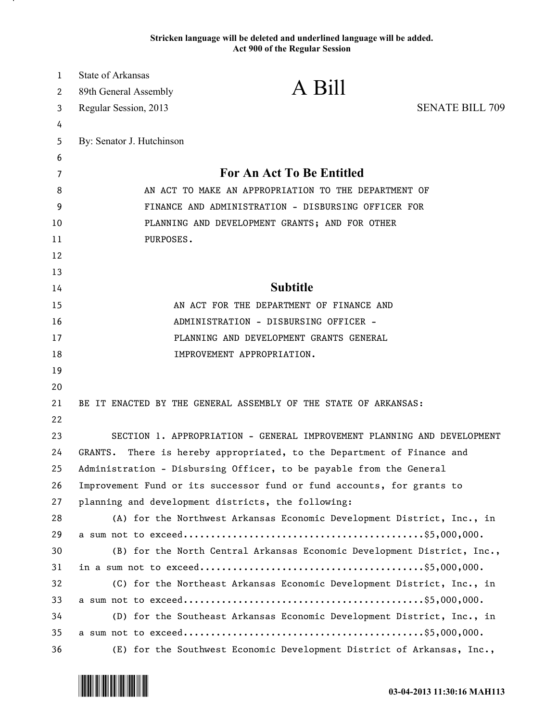## **Stricken language will be deleted and underlined language will be added. Act 900 of the Regular Session**

| $\mathbf{1}$ | State of Arkansas                                                      |                                                                         |                        |
|--------------|------------------------------------------------------------------------|-------------------------------------------------------------------------|------------------------|
| 2            | 89th General Assembly                                                  | A Bill                                                                  |                        |
| 3            | Regular Session, 2013                                                  |                                                                         | <b>SENATE BILL 709</b> |
| 4            |                                                                        |                                                                         |                        |
| 5            | By: Senator J. Hutchinson                                              |                                                                         |                        |
| 6            |                                                                        |                                                                         |                        |
| 7            | <b>For An Act To Be Entitled</b>                                       |                                                                         |                        |
| 8            | AN ACT TO MAKE AN APPROPRIATION TO THE DEPARTMENT OF                   |                                                                         |                        |
| 9            | FINANCE AND ADMINISTRATION - DISBURSING OFFICER FOR                    |                                                                         |                        |
| 10           | PLANNING AND DEVELOPMENT GRANTS; AND FOR OTHER                         |                                                                         |                        |
| 11           | PURPOSES.                                                              |                                                                         |                        |
| 12           |                                                                        |                                                                         |                        |
| 13           |                                                                        |                                                                         |                        |
| 14           | <b>Subtitle</b>                                                        |                                                                         |                        |
| 15           | AN ACT FOR THE DEPARTMENT OF FINANCE AND                               |                                                                         |                        |
| 16           | ADMINISTRATION - DISBURSING OFFICER -                                  |                                                                         |                        |
| 17           | PLANNING AND DEVELOPMENT GRANTS GENERAL                                |                                                                         |                        |
| 18           |                                                                        | IMPROVEMENT APPROPRIATION.                                              |                        |
| 19           |                                                                        |                                                                         |                        |
| 20           |                                                                        |                                                                         |                        |
| 21           |                                                                        | BE IT ENACTED BY THE GENERAL ASSEMBLY OF THE STATE OF ARKANSAS:         |                        |
| 22           |                                                                        |                                                                         |                        |
| 23           |                                                                        | SECTION 1. APPROPRIATION - GENERAL IMPROVEMENT PLANNING AND DEVELOPMENT |                        |
| 24           | GRANTS.                                                                | There is hereby appropriated, to the Department of Finance and          |                        |
| 25           |                                                                        | Administration - Disbursing Officer, to be payable from the General     |                        |
| 26           | Improvement Fund or its successor fund or fund accounts, for grants to |                                                                         |                        |
| 27           | planning and development districts, the following:                     |                                                                         |                        |
| 28           |                                                                        | (A) for the Northwest Arkansas Economic Development District, Inc., in  |                        |
| 29           |                                                                        |                                                                         |                        |
| 30           |                                                                        | (B) for the North Central Arkansas Economic Development District, Inc., |                        |
| 31           |                                                                        |                                                                         |                        |
| 32           |                                                                        | (C) for the Northeast Arkansas Economic Development District, Inc., in  |                        |
| 33           |                                                                        |                                                                         |                        |
| 34           |                                                                        | (D) for the Southeast Arkansas Economic Development District, Inc., in  |                        |
| 35           |                                                                        |                                                                         |                        |
| 36           |                                                                        | (E) for the Southwest Economic Development District of Arkansas, Inc.,  |                        |

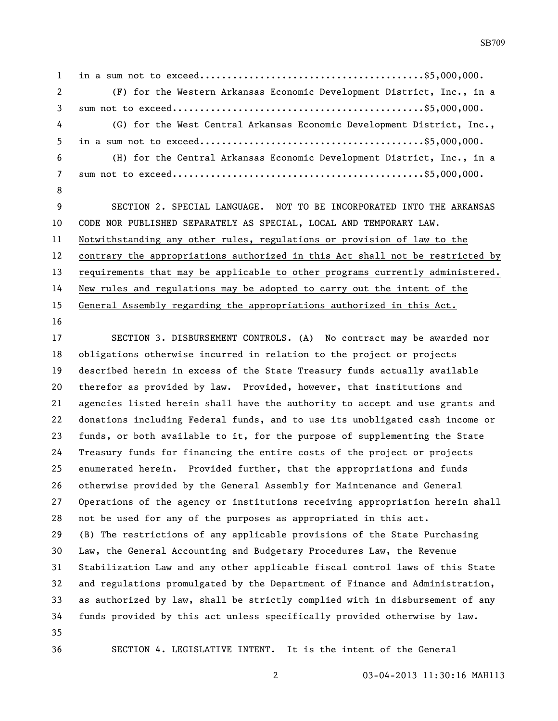in a sum not to exceed.........................................\$5,000,000. (F) for the Western Arkansas Economic Development District, Inc., in a sum not to exceed..............................................\$5,000,000. (G) for the West Central Arkansas Economic Development District, Inc., in a sum not to exceed.........................................\$5,000,000. (H) for the Central Arkansas Economic Development District, Inc., in a sum not to exceed..............................................\$5,000,000. SECTION 2. SPECIAL LANGUAGE. NOT TO BE INCORPORATED INTO THE ARKANSAS

 CODE NOR PUBLISHED SEPARATELY AS SPECIAL, LOCAL AND TEMPORARY LAW. Notwithstanding any other rules, regulations or provision of law to the contrary the appropriations authorized in this Act shall not be restricted by 13 requirements that may be applicable to other programs currently administered. New rules and regulations may be adopted to carry out the intent of the General Assembly regarding the appropriations authorized in this Act.

 SECTION 3. DISBURSEMENT CONTROLS. (A) No contract may be awarded nor obligations otherwise incurred in relation to the project or projects described herein in excess of the State Treasury funds actually available therefor as provided by law. Provided, however, that institutions and agencies listed herein shall have the authority to accept and use grants and donations including Federal funds, and to use its unobligated cash income or funds, or both available to it, for the purpose of supplementing the State Treasury funds for financing the entire costs of the project or projects enumerated herein. Provided further, that the appropriations and funds otherwise provided by the General Assembly for Maintenance and General Operations of the agency or institutions receiving appropriation herein shall not be used for any of the purposes as appropriated in this act. (B) The restrictions of any applicable provisions of the State Purchasing Law, the General Accounting and Budgetary Procedures Law, the Revenue Stabilization Law and any other applicable fiscal control laws of this State and regulations promulgated by the Department of Finance and Administration, as authorized by law, shall be strictly complied with in disbursement of any funds provided by this act unless specifically provided otherwise by law. 

SECTION 4. LEGISLATIVE INTENT. It is the intent of the General